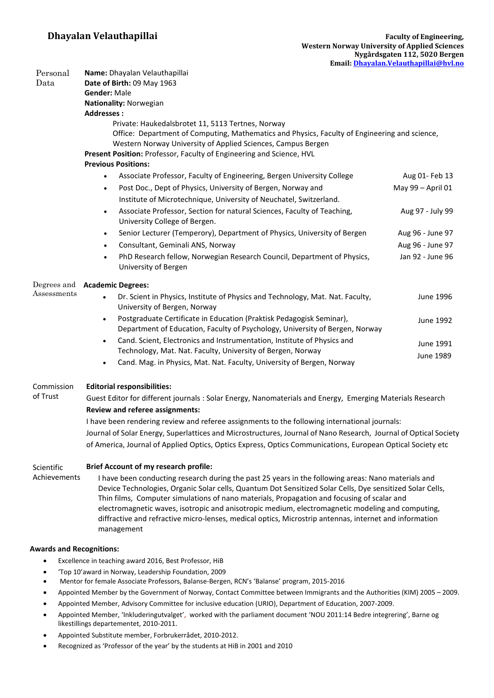| Personal                                                                             | Name: Dhayalan Velauthapillai                                                                                                                                                                                                                                                                               |                                                                                                                             |                                                                                                                                                                                                                                         |  |  |
|--------------------------------------------------------------------------------------|-------------------------------------------------------------------------------------------------------------------------------------------------------------------------------------------------------------------------------------------------------------------------------------------------------------|-----------------------------------------------------------------------------------------------------------------------------|-----------------------------------------------------------------------------------------------------------------------------------------------------------------------------------------------------------------------------------------|--|--|
| Data                                                                                 | Date of Birth: 09 May 1963<br><b>Gender: Male</b><br>Nationality: Norwegian                                                                                                                                                                                                                                 |                                                                                                                             |                                                                                                                                                                                                                                         |  |  |
|                                                                                      |                                                                                                                                                                                                                                                                                                             |                                                                                                                             | <b>Addresses:</b><br>Private: Haukedalsbrotet 11, 5113 Tertnes, Norway<br>Office: Department of Computing, Mathematics and Physics, Faculty of Engineering and science,<br>Western Norway University of Applied Sciences, Campus Bergen |  |  |
|                                                                                      |                                                                                                                                                                                                                                                                                                             |                                                                                                                             |                                                                                                                                                                                                                                         |  |  |
|                                                                                      | <b>Previous Positions:</b>                                                                                                                                                                                                                                                                                  |                                                                                                                             |                                                                                                                                                                                                                                         |  |  |
|                                                                                      | Associate Professor, Faculty of Engineering, Bergen University College<br>$\bullet$                                                                                                                                                                                                                         | Aug 01- Feb 13                                                                                                              |                                                                                                                                                                                                                                         |  |  |
|                                                                                      | Post Doc., Dept of Physics, University of Bergen, Norway and<br>$\bullet$                                                                                                                                                                                                                                   | May 99 - April 01                                                                                                           |                                                                                                                                                                                                                                         |  |  |
|                                                                                      | Institute of Microtechnique, University of Neuchatel, Switzerland.                                                                                                                                                                                                                                          |                                                                                                                             |                                                                                                                                                                                                                                         |  |  |
|                                                                                      | Associate Professor, Section for natural Sciences, Faculty of Teaching,<br>$\bullet$<br>University College of Bergen.                                                                                                                                                                                       | Aug 97 - July 99                                                                                                            |                                                                                                                                                                                                                                         |  |  |
|                                                                                      | Senior Lecturer (Temperory), Department of Physics, University of Bergen<br>$\bullet$                                                                                                                                                                                                                       | Aug 96 - June 97                                                                                                            |                                                                                                                                                                                                                                         |  |  |
|                                                                                      | Consultant, Geminali ANS, Norway<br>$\bullet$                                                                                                                                                                                                                                                               | Aug 96 - June 97                                                                                                            |                                                                                                                                                                                                                                         |  |  |
|                                                                                      | PhD Research fellow, Norwegian Research Council, Department of Physics,<br>$\bullet$                                                                                                                                                                                                                        | Jan 92 - June 96                                                                                                            |                                                                                                                                                                                                                                         |  |  |
|                                                                                      | University of Bergen                                                                                                                                                                                                                                                                                        |                                                                                                                             |                                                                                                                                                                                                                                         |  |  |
|                                                                                      | Degrees and<br>Assessments                                                                                                                                                                                                                                                                                  | <b>Academic Degrees:</b>                                                                                                    |                                                                                                                                                                                                                                         |  |  |
|                                                                                      |                                                                                                                                                                                                                                                                                                             | Dr. Scient in Physics, Institute of Physics and Technology, Mat. Nat. Faculty,<br>$\bullet$<br>University of Bergen, Norway | June 1996                                                                                                                                                                                                                               |  |  |
|                                                                                      |                                                                                                                                                                                                                                                                                                             | Postgraduate Certificate in Education (Praktisk Pedagogisk Seminar),<br>$\bullet$                                           | June 1992                                                                                                                                                                                                                               |  |  |
|                                                                                      |                                                                                                                                                                                                                                                                                                             | Department of Education, Faculty of Psychology, University of Bergen, Norway                                                |                                                                                                                                                                                                                                         |  |  |
| Cand. Scient, Electronics and Instrumentation, Institute of Physics and<br>$\bullet$ |                                                                                                                                                                                                                                                                                                             | June 1991                                                                                                                   |                                                                                                                                                                                                                                         |  |  |
| Technology, Mat. Nat. Faculty, University of Bergen, Norway                          |                                                                                                                                                                                                                                                                                                             | June 1989                                                                                                                   |                                                                                                                                                                                                                                         |  |  |
| Cand. Mag. in Physics, Mat. Nat. Faculty, University of Bergen, Norway<br>$\bullet$  |                                                                                                                                                                                                                                                                                                             |                                                                                                                             |                                                                                                                                                                                                                                         |  |  |
| Commission<br>of Trust                                                               | <b>Editorial responsibilities:</b>                                                                                                                                                                                                                                                                          |                                                                                                                             |                                                                                                                                                                                                                                         |  |  |
|                                                                                      | Guest Editor for different journals : Solar Energy, Nanomaterials and Energy, Emerging Materials Research                                                                                                                                                                                                   |                                                                                                                             |                                                                                                                                                                                                                                         |  |  |
|                                                                                      | Review and referee assignments:                                                                                                                                                                                                                                                                             |                                                                                                                             |                                                                                                                                                                                                                                         |  |  |
|                                                                                      | I have been rendering review and referee assignments to the following international journals:                                                                                                                                                                                                               |                                                                                                                             |                                                                                                                                                                                                                                         |  |  |
|                                                                                      | Journal of Solar Energy, Superlattices and Microstructures, Journal of Nano Research, Journal of Optical Society                                                                                                                                                                                            |                                                                                                                             |                                                                                                                                                                                                                                         |  |  |
|                                                                                      | of America, Journal of Applied Optics, Optics Express, Optics Communications, European Optical Society etc                                                                                                                                                                                                  |                                                                                                                             |                                                                                                                                                                                                                                         |  |  |
| Scientific                                                                           | <b>Brief Account of my research profile:</b>                                                                                                                                                                                                                                                                |                                                                                                                             |                                                                                                                                                                                                                                         |  |  |
| Achievements                                                                         | I have been conducting research during the past 25 years in the following areas: Nano materials and                                                                                                                                                                                                         |                                                                                                                             |                                                                                                                                                                                                                                         |  |  |
|                                                                                      | Device Technologies, Organic Solar cells, Quantum Dot Sensitized Solar Cells, Dye sensitized Solar Cells,<br>Thin films, Computer simulations of nano materials, Propagation and focusing of scalar and<br>electromagnetic waves, isotropic and anisotropic medium, electromagnetic modeling and computing, |                                                                                                                             |                                                                                                                                                                                                                                         |  |  |

### **Awards and Recognitions:**

Excellence in teaching award 2016, Best Professor, HiB

management

- 'Top 10'award in Norway, Leadership Foundation, 2009
- Mentor for female Associate Professors, Balanse-Bergen, RCN's 'Balanse' program, 2015-2016
- Appointed Member by the Government of Norway, Contact Committee between Immigrants and the Authorities (KIM) 2005 2009.

diffractive and refractive micro-lenses, medical optics, Microstrip antennas, internet and information

- Appointed Member, Advisory Committee for inclusive education (URIO), Department of Education, 2007-2009.
- Appointed Member, 'Inkluderingutvalget', worked with the parliament document 'NOU 2011:14 Bedre integrering', Barne og likestillings departementet, 2010-2011.
- Appointed Substitute member, Forbrukerrådet, 2010-2012.
- Recognized as 'Professor of the year' by the students at HiB in 2001 and 2010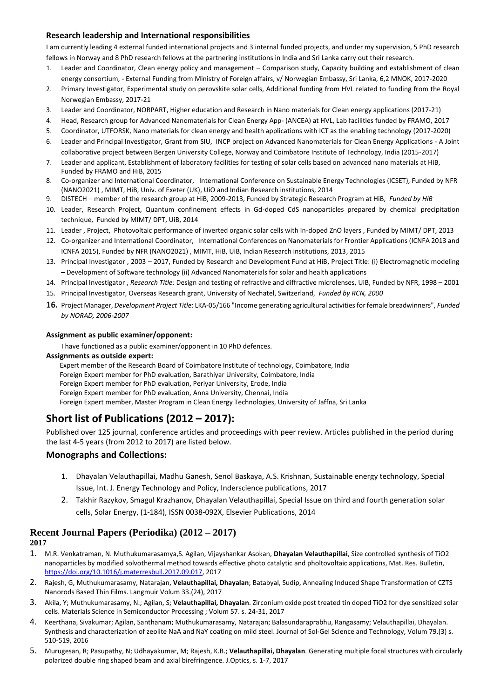# **Research leadership and International responsibilities**

I am currently leading 4 external funded international projects and 3 internal funded projects, and under my supervision, 5 PhD research fellows in Norway and 8 PhD research fellows at the partnering institutions in India and Sri Lanka carry out their research.

- 1. Leader and Coordinator, Clean energy policy and management Comparison study, Capacity building and establishment of clean energy consortium, - External Funding from Ministry of Foreign affairs, v/ Norwegian Embassy, Sri Lanka, 6,2 MNOK, 2017-2020
- 2. Primary Investigator, Experimental study on perovskite solar cells, Additional funding from HVL related to funding from the Royal Norwegian Embassy, 2017-21
- 3. Leader and Coordinator, NORPART, Higher education and Research in Nano materials for Clean energy applications (2017-21)
- 4. Head, Research group for Advanced Nanomaterials for Clean Energy App- (ANCEA) at HVL, Lab facilities funded by FRAMO, 2017
- 5. Coordinator, UTFORSK, Nano materials for clean energy and health applications with ICT as the enabling technology (2017-2020)
- 6. Leader and Principal Investigator, Grant from SIU, INCP project on Advanced Nanomaterials for Clean Energy Applications A Joint collaborative project between Bergen University College, Norway and Coimbatore Institute of Technology, India (2015-2017)
- 7. Leader and applicant, Establishment of laboratory facilities for testing of solar cells based on advanced nano materials at HiB, Funded by FRAMO and HiB, 2015
- 8. Co-organizer and International Coordinator, International Conference on Sustainable Energy Technologies (ICSET), Funded by NFR (NANO2021) , MIMT, HiB, Univ. of Exeter (UK), UiO and Indian Research institutions, 2014
- 9. DISTECH member of the research group at HiB, 2009-2013, Funded by Strategic Research Program at HiB, *Funded by HiB*
- 10. Leader, Research Project, Quantum confinement effects in Gd-doped CdS nanoparticles prepared by chemical precipitation technique, Funded by MIMT/ DPT, UiB, 2014
- 11. Leader , Project, Photovoltaic performance of inverted organic solar cells with In-doped ZnO layers , Funded by MIMT/ DPT, 2013
- 12. Co-organizer and International Coordinator, International Conferences on Nanomaterials for Frontier Applications (ICNFA 2013 and ICNFA 2015), Funded by NFR (NANO2021) , MIMT, HiB, UiB, Indian Research institutions, 2013, 2015
- 13. Principal Investigator , 2003 2017, Funded by Research and Development Fund at HiB, Project Title: (i) Electromagnetic modeling – Development of Software technology (ii) Advanced Nanomaterials for solar and health applications
- 14. Principal Investigator , *Research Title:* Design and testing of refractive and diffractive microlenses, UiB, Funded by NFR, 1998 2001
- 15. Principal Investigator, Overseas Research grant, University of Nechatel, Switzerland, *Funded by RCN, 2000*
- **16.** Project Manager, *Development Project Title*: LKA-05/166 "Income generating agricultural activities for female breadwinners", *Funded by NORAD, 2006-2007*

## **Assignment as public examiner/opponent:**

I have functioned as a public examiner/opponent in 10 PhD defences.

## **Assignments as outside expert:**

Expert member of the Research Board of Coimbatore Institute of technology, Coimbatore, India Foreign Expert member for PhD evaluation, Barathiyar University, Coimbatore, India Foreign Expert member for PhD evaluation, Periyar University, Erode, India Foreign Expert member for PhD evaluation, Anna University, Chennai, India Foreign Expert member, Master Program in Clean Energy Technologies, University of Jaffna, Sri Lanka

# **Short list of Publications (2012 – 2017):**

Published over 125 journal, conference articles and proceedings with peer review. Articles published in the period during the last 4-5 years (from 2012 to 2017) are listed below.

# **Monographs and Collections:**

- 1. Dhayalan Velauthapillai, Madhu Ganesh, Senol Baskaya, A.S. Krishnan, Sustainable energy technology, Special Issue, Int. J. Energy Technology and Policy, Inderscience publications, 2017
- 2. Takhir Razykov, Smagul Krazhanov, Dhayalan Velauthapillai, Special Issue on third and fourth generation solar cells, Solar Energy, (1-184), ISSN 0038-092X, Elsevier Publications, 2014

# **Recent Journal Papers (Periodika) (2012 – 2017)**

**2017** 

- 1. M.R. Venkatraman, N. Muthukumarasamya,S. Agilan, Vijayshankar Asokan, **Dhayalan Velauthapillai**, Size controlled synthesis of TiO2 nanoparticles by modified solvothermal method towards effective photo catalytic and pholtovoltaic applications, Mat. Res. Bulletin, [https://doi.org/10.1016/j.materresbull.2017.09.017,](https://doi.org/10.1016/j.materresbull.2017.09.017) 2017
- 2. Rajesh, G, Muthukumarasamy, Natarajan, **Velauthapillai, Dhayalan**; Batabyal, Sudip, Annealing Induced Shape Transformation of CZTS Nanorods Based Thin Films. Langmuir Volum 33.(24), 2017
- 3. Akila, Y; Muthukumarasamy, N.; Agilan, S; **Velauthapillai, Dhayalan**. Zirconium oxide post treated tin doped TiO2 for dye sensitized solar cells. Materials Science in Semiconductor Processing ; Volum 57. s. 24-31, 2017
- 4. Keerthana, Sivakumar; Agilan, Santhanam; Muthukumarasamy, Natarajan; Balasundaraprabhu, Rangasamy; Velauthapillai, Dhayalan. Synthesis and characterization of zeolite NaA and NaY coating on mild steel. Journal of Sol-Gel Science and Technology, Volum 79.(3) s. 510-519, 2016
- 5. Murugesan, R; Pasupathy, N; Udhayakumar, M; Rajesh, K.B.; **Velauthapillai, Dhayalan**. Generating multiple focal structures with circularly polarized double ring shaped beam and axial birefringence. J.Optics, s. 1-7, 2017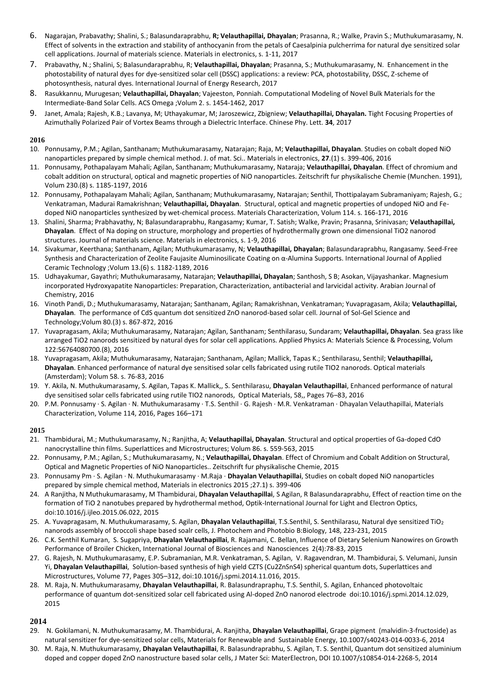- 6. Nagarajan, Prabavathy; Shalini, S.; Balasundaraprabhu, **R; Velauthapillai, Dhayalan**; Prasanna, R.; Walke, Pravin S.; Muthukumarasamy, N. Effect of solvents in the extraction and stability of anthocyanin from the petals of Caesalpinia pulcherrima for natural dye sensitized solar cell applications. Journal of materials science. Materials in electronics, s. 1-11, 2017
- 7. Prabavathy, N.; Shalini, S; Balasundaraprabhu, R; **Velauthapillai, Dhayalan**; Prasanna, S.; Muthukumarasamy, N. Enhancement in the photostability of natural dyes for dye-sensitized solar cell (DSSC) applications: a review: PCA, photostability, DSSC, Z-scheme of photosynthesis, natural dyes. International Journal of Energy Research, 2017
- 8. Rasukkannu, Murugesan; **Velauthapillai, Dhayalan**; Vajeeston, Ponniah. Computational Modeling of Novel Bulk Materials for the Intermediate-Band Solar Cells. ACS Omega ;Volum 2. s. 1454-1462, 2017
- 9. Janet, Amala; Rajesh, K.B.; Lavanya, M; Uthayakumar, M; Jaroszewicz, Zbigniew; **Velauthapillai, Dhayalan.** Tight Focusing Properties of Azimuthally Polarized Pair of Vortex Beams through a Dielectric Interface. Chinese Phy. Lett. **34**, 2017

### **2016**

- 10. Ponnusamy, P.M.; Agilan, Santhanam; Muthukumarasamy, Natarajan; Raja, M; **Velauthapillai, Dhayalan**. Studies on cobalt doped NiO nanoparticles prepared by simple chemical method. J. of mat. Sci.. Materials in electronics, **27**.(1) s. 399-406, 2016
- 11. Ponnusamy, Pothapalayam Mahali; Agilan, Santhanam; Muthukumarasamy, Nataraja; **Velauthapillai, Dhayalan**. Effect of chromium and cobalt addition on structural, optical and magnetic properties of NiO nanoparticles. Zeitschrift fur physikalische Chemie (Munchen. 1991), Volum 230.(8) s. 1185-1197, 2016
- 12. Ponnusamy, Pothapalayam Mahali; Agilan, Santhanam; Muthukumarasamy, Natarajan; Senthil, Thottipalayam Subramaniyam; Rajesh, G.; Venkatraman, Madurai Ramakrishnan; **Velauthapillai, Dhayalan**. Structural, optical and magnetic properties of undoped NiO and Fedoped NiO nanoparticles synthesized by wet-chemical process. Materials Characterization, Volum 114. s. 166-171, 2016
- 13. Shalini, Sharma; Prabhavathy, N; Balasundaraprabhu, Rangasamy; Kumar, T. Satish; Walke, Pravin; Prasanna, Srinivasan; **Velauthapillai, Dhayalan**. Effect of Na doping on structure, morphology and properties of hydrothermally grown one dimensional TiO2 nanorod structures. Journal of materials science. Materials in electronics, s. 1-9, 2016
- 14. Sivakumar, Keerthana; Santhanam, Agilan; Muthukumarasamy, N; **Velauthapillai, Dhayalan**; Balasundaraprabhu, Rangasamy. Seed‐Free Synthesis and Characterization of Zeolite Faujasite Aluminosilicate Coating on α‐Alumina Supports. International Journal of Applied Ceramic Technology ;Volum 13.(6) s. 1182-1189, 2016
- 15. Udhayakumar, Gayathri; Muthukumarasamy, Natarajan; **Velauthapillai, Dhayalan**; Santhosh, S B; Asokan, Vijayashankar. Magnesium incorporated Hydroxyapatite Nanoparticles: Preparation, Characterization, antibacterial and larvicidal activity. Arabian Journal of Chemistry, 2016
- 16. Vinoth Pandi, D.; Muthukumarasamy, Natarajan; Santhanam, Agilan; Ramakrishnan, Venkatraman; Yuvapragasam, Akila; **Velauthapillai, Dhayalan**. The performance of CdS quantum dot sensitized ZnO nanorod-based solar cell. Journal of Sol-Gel Science and Technology;Volum 80.(3) s. 867-872, 2016
- 17. Yuvapragasam, Akila; Muthukumarasamy, Natarajan; Agilan, Santhanam; Senthilarasu, Sundaram; **Velauthapillai, Dhayalan**. Sea grass like arranged TiO2 nanorods sensitized by natural dyes for solar cell applications. Applied Physics A: Materials Science & Processing, Volum 122:56764080700.(8), 2016
- 18. Yuvapragasam, Akila; Muthukumarasamy, Natarajan; Santhanam, Agilan; Mallick, Tapas K.; Senthilarasu, Senthil; **Velauthapillai, Dhayalan**. Enhanced performance of natural dye sensitised solar cells fabricated using rutile TIO2 nanorods. Optical materials (Amsterdam); Volum 58. s. 76-83, 2016
- 19. Y. Akila, N. Muthukumarasamy, S. Agilan, Tapas K. Mallick,, S. Senthilarasu, **Dhayalan Velauthapillai**, Enhanced performance of natural dye sensitised solar cells fabricated using rutile TIO2 nanorods, Optical Materials, 58,, Pages 76–83, 2016
- 20. P.M. Ponnusamy · S. Agilan · N. Muthukumarasamy · T.S. Senthil · G. Rajesh · M.R. Venkatraman · Dhayalan Velauthapillai, Materials Characterization, Volume 114, 2016, Pages 166–171

#### **2015**

- 21. Thambidurai, M.; Muthukumarasamy, N.; Ranjitha, A; **Velauthapillai, Dhayalan**. Structural and optical properties of Ga-doped CdO nanocrystalline thin films. Superlattices and Microstructures; Volum 86. s. 559-563, 2015
- 22. Ponnusamy, P.M.; Agilan, S.; Muthukumarasamy, N.; **Velauthapillai, Dhayalan**. Effect of Chromium and Cobalt Addition on Structural, Optical and Magnetic Properties of NiO Nanoparticles.. Zeitschrift fur physikalische Chemie, 2015
- 23. Ponnusamy Pm · S. Agilan · N. Muthukumarasamy · M.Raja · **Dhayalan Velauthapillai**, Studies on cobalt doped NiO nanoparticles prepared by simple chemical method, Materials in electronics 2015 ;27.1) s. 399-406
- 24. A Ranjitha, N Muthukumarasamy, M Thambidurai, **Dhayalan Velauthapillai**, S Agilan, R Balasundaraprabhu, Effect of reaction time on the formation of TiO 2 nanotubes prepared by hydrothermal method, Optik-International Journal for Light and Electron Optics, doi:10.1016/j.ijleo.2015.06.022, 2015
- 25. A. Yuvapragasam, N. Muthukumarasamy, S. Agilan, **Dhayalan Velauthapillai**, T.S.Senthil, S. Senthilarasu, Natural dye sensitized TiO<sub>2</sub> nanorods assembly of broccoli shape based soalr cells, J. Photochem and Photobio B:Biology, 148, 223-231, 2015
- 26. C.K. Senthil Kumaran, S. Sugapriya, **Dhayalan Velauthapillai**, R. Rajamani, C. Bellan, Influence of Dietary Selenium Nanowires on Growth Performance of Broiler Chicken, International Journal of Biosciences and Nanosciences 2(4):78-83, 2015
- 27. G. Rajesh, N. Muthukumarasamy, E.P. Subramanian, M.R. Venkatraman, S. Agilan, V. Ragavendran, M. Thambidurai, S. Velumani, Junsin Yi, **Dhayalan Velauthapillai**, Solution-based synthesis of high yield CZTS (Cu2ZnSnS4) spherical quantum dots, Superlattices and Microstructures, Volume 77, Pages 305–312, doi:10.1016/j.spmi.2014.11.016, 2015.
- 28. M. Raja, N. Muthukumarasamy, **Dhayalan Velauthapillai**, R. Balasundrapraphu, T.S. Senthil, S. Agilan, Enhanced photovoltaic performance of quantum dot-sensitized solar cell fabricated using Al-doped ZnO nanorod electrode doi:10.1016/j.spmi.2014.12.029, 2015

## **2014**

- 29. N. Gokilamani, N. Muthukumarasamy, M. Thambidurai, A. Ranjitha, **Dhayalan Velauthapillai**, Grape pigment (malvidin-3-fructoside) as natural sensitizer for dye-sensitized solar cells, Materials for Renewable and Sustainable Energy, 10.1007/s40243-014-0033-6, 2014
- 30. M. Raja, N. Muthukumarasamy, **Dhayalan Velauthapillai**, R. Balasundraprabhu, S. Agilan, T. S. Senthil, Quantum dot sensitized aluminium doped and copper doped ZnO nanostructure based solar cells, J Mater Sci: MaterElectron, DOI 10.1007/s10854-014-2268-5, 2014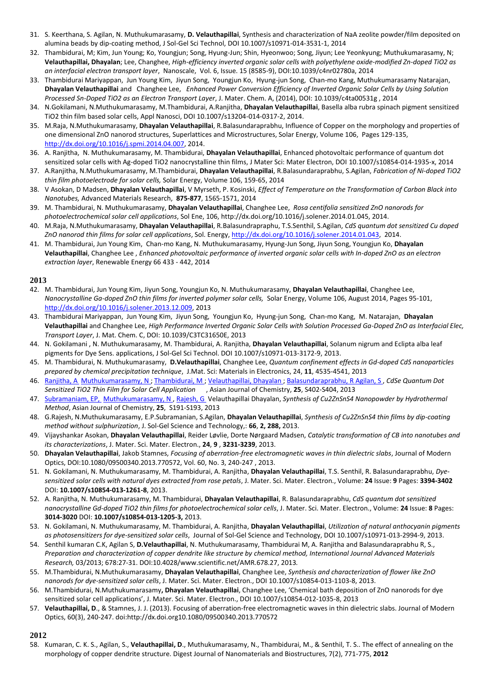- 31. S. Keerthana, S. Agilan, N. Muthukumarasamy, **D. Velauthapillai**, Synthesis and characterization of NaA zeolite powder/film deposited on alumina beads by dip-coating method, J Sol-Gel Sci Technol, DOI 10.1007/s10971-014-3531-1, 2014
- 32. Thambidurai, M; Kim, Jun Young; Ko, Youngjun; Song, Hyung-Jun; Shin, Hyeonwoo; Song, Jiyun; Lee Yeonkyung; Muthukumarasamy, N; **Velauthapillai, Dhayalan**; Lee, Changhee, *High-efficiency inverted organic solar cells with polyethylene oxide-modified Zn-doped TiO2 as an interfacial electron transport layer*, Nanoscale, Vol. 6, Issue. 15 (8585-9), DOI:10.1039/c4nr02780a, 2014
- 33. Thambidurai Mariyappan, Jun Young Kim, Jiyun Song, Youngjun Ko, Hyung-jun Song, Chan-mo Kang, Muthukumarasamy Natarajan, **Dhayalan Velauthapillai** and Changhee Lee, *Enhanced Power Conversion Efficiency of Inverted Organic Solar Cells by Using Solution Processed Sn-Doped TiO2 as an Electron Transport Layer*, J. Mater. Chem. A, (2014), DOI: 10.1039/c4ta00531g , 2014
- 34. N.Gokilamani, N.Muthukumarasamy, M.Thambidurai, A.Ranjitha, **Dhayalan Velauthapillai**, Basella alba rubra spinach pigment sensitized TiO2 thin film based solar cells, Appl Nanosci, DOI 10.1007/s13204-014-0317-2, 2014.
- 35. M.Raja, N.Muthukumarasamy, **Dhayalan Velauthapillai**, R.Balasundaraprabhu, Influence of Copper on the morphology and properties of one dimensional ZnO nanorod structures, Superlattices and Microstructures, Solar Energy, Volume 106, Pages 129-135, [http://dx.doi.org/10.1016/j.spmi.2014.04.007,](http://dx.doi.org/10.1016/j.spmi.2014.04.007) 2014.
- 36. A. Ranjitha, N. Muthukumarasamy, M. Thambidurai, **Dhayalan Velauthapillai**, Enhanced photovoltaic performance of quantum dot sensitized solar cells with Ag-doped TiO2 nanocrystalline thin films, J Mater Sci: Mater Electron, DOI 10.1007/s10854-014-1935-x, 2014
- 37. A.Ranjitha, N.Muthukumarasamy, M.Thambidurai, **Dhayalan Velauthapillai**, R.Balasundaraprabhu, S.Agilan, *Fabrication of Ni-doped TiO2 thin film photoelectrode for solar cells,* Solar Energy, Volume 106, 159-65, 2014
- 38. V Asokan, D Madsen, **Dhayalan Velauthapillai**, V Myrseth, P. Kosinski, *Effect of Temperature on the Transformation of Carbon Black into Nanotubes,* Advanced Materials Research, **875-877**, 1565-1571, 2014
- 39. M. Thambidurai, N. Muthukumarasamy, **Dhayalan Velauthapillai**, Changhee Lee, *Rosa centifolia sensitized ZnO nanorods for photoelectrochemical solar cell applications*, Sol Ene, 106, http://dx.doi.org/10.1016/j.solener.2014.01.045, 2014.
- 40. M.Raja, N.Muthukumarasamy, **Dhayalan Velauthapillai**, R.Balasundrapraphu, T.S.Senthil, S.Agilan, *CdS quantum dot sensitized Cu doped ZnO nanorod thin films for solar cell applications*, Sol. Energy[, http://dx.doi.org/10.1016/j.solener.2014.01.043,](http://dx.doi.org/10.1016/j.solener.2014.01.043) 2014.
- 41. M. Thambidurai, Jun Young Kim, Chan-mo Kang, N. Muthukumarasamy, Hyung-Jun Song, Jiyun Song, Youngjun Ko, **Dhayalan Velauthapillai**, Changhee Lee , *Enhanced photovoltaic performance of inverted organic solar cells with In-doped ZnO as an electron extraction layer*, Renewable Energy 66 433 - 442, 2014

### **2013**

- 42. M. Thambidurai, Jun Young Kim, Jiyun Song, Youngjun Ko, N. Muthukumarasamy, **Dhayalan Velauthapillai**, Changhee Lee, *Nanocrystalline Ga-doped ZnO thin films for inverted polymer solar cells,* Solar Energy, Volume 106, August 2014, Pages 95-101, [http://dx.doi.org/10.1016/j.solener.2013.12.009,](http://dx.doi.org/10.1016/j.solener.2013.12.009) 2013
- 43. Thambidurai Mariyappan, Jun Young Kim, Jiyun Song, Youngjun Ko, Hyung-jun Song, Chan-mo Kang, M. Natarajan, **Dhayalan Velauthapillai** and Changhee Lee, *High Performance Inverted Organic Solar Cells with Solution Processed Ga-Doped ZnO as Interfacial Elec, Transport Layer*, J. Mat. Chem. C, DOI: 10.1039/C3TC31650E, 2013
- 44. N. Gokilamani , N. Muthukumarasamy, M. Thambidurai, A. Ranjitha, **Dhayalan Velauthapillai**, Solanum nigrum and Eclipta alba leaf pigments for Dye Sens. applications, J Sol-Gel Sci Technol. DOI 10.1007/s10971-013-3172-9, 2013.
- 45. M. Thambidurai, N. Muthukumarasamy, **D.Velauthapillai**, Changhee Lee, *Quantum confinement effects in Gd-doped CdS nanoparticles prepared by chemical precipitation technique*, J.Mat. Sci: Materials in Electronics, 24, **11**, 4535-4541, 2013
- 46. [Ranjitha, A](http://apps.webofknowledge.com/OneClickSearch.do?product=UA&search_mode=OneClickSearch&colName=WOS&SID=T2JPN8A@k2GBODLjjA8&field=AU&value=Ranjitha,%20A&cacheurlFromRightClick=no) [Muthukumarasamy, N ;](http://apps.webofknowledge.com/OneClickSearch.do?product=UA&search_mode=OneClickSearch&colName=WOS&SID=T2JPN8A@k2GBODLjjA8&field=AU&value=Muthukumarasamy,%20N) [Thambidurai, M ;](http://apps.webofknowledge.com/OneClickSearch.do?product=UA&search_mode=OneClickSearch&colName=WOS&SID=T2JPN8A@k2GBODLjjA8&field=AU&value=Thambidurai,%20M) [Velauthapillai, Dhayalan ;](http://apps.webofknowledge.com/OneClickSearch.do?product=UA&search_mode=OneClickSearch&colName=WOS&SID=T2JPN8A@k2GBODLjjA8&field=AU&value=Velauthapillai,%20D) [Balasundaraprabhu, R Agilan, S ,](http://apps.webofknowledge.com/OneClickSearch.do?product=UA&search_mode=OneClickSearch&colName=WOS&SID=T2JPN8A@k2GBODLjjA8&field=AU&value=Balasundaraprabhu,%20R) CdSe Quantum Dot *Sensitized TiO2 Thin Film for Solar Cell Application* , Asian Journal of Chemistry, **25**, S402-S404, 2013
- 47. [Subramaniam, EP,](http://apps.webofknowledge.com/OneClickSearch.do?product=UA&search_mode=OneClickSearch&colName=WOS&SID=T2JPN8A@k2GBODLjjA8&field=AU&value=Subramaniam,%20EP&cacheurlFromRightClick=no) [Muthukumarasamy, N ,](http://apps.webofknowledge.com/OneClickSearch.do?product=UA&search_mode=OneClickSearch&colName=WOS&SID=T2JPN8A@k2GBODLjjA8&field=AU&value=Muthukumarasamy,%20N) [Rajesh, G V](http://apps.webofknowledge.com/OneClickSearch.do?product=UA&search_mode=OneClickSearch&colName=WOS&SID=T2JPN8A@k2GBODLjjA8&field=AU&value=Rajesh,%20G)elauthapillai Dhayalan, *Synthesis of Cu2ZnSnS4 Nanopowder by Hydrothermal Method*, Asian Journal of Chemistry, **25**, S191-S193, 2013
- 48. G.Rajesh, N.Muthukumarasamy, E.P.Subramanian, S.Agilan, **Dhayalan Velauthapillai**, *Synthesis of Cu2ZnSnS4 thin films by dip-coating method without sulphurization*, J. Sol-Gel Science and Technology,: **66**, **2, 288,** 2013.
- 49. Vijayshankar Asokan, **Dhayalan Velauthapillai**, Reider Løvlie, Dorte Nørgaard Madsen, *Catalytic transformation of CB into nanotubes and its characterizations*, J. Mater. Sci. Mater. Electron., **24**, **9** , **3231-3239**, 2013.
- 50. **Dhayalan Velauthapillai**, Jakob Stamnes, *Focusing of aberration-free electromagnetic waves in thin dielectric slabs*, Journal of Modern Optics, DOI:10.1080/09500340.2013.770572, Vol. 60, No. 3, 240-247 , 2013.
- 51. N. Gokilamani, N. Muthukumarasamy, M. Thambidurai, A. Ranjitha, **Dhayalan Velauthapillai**, T.S. Senthil, R. Balasundaraprabhu, *Dyesensitized solar cells with natural dyes extracted from rose petals*, J. Mater. Sci. Mater. Electron., Volume: **24** Issue: **9** Pages: **3394-3402** DOI: **10.1007/s10854-013-1261-8**, 2013.
- 52. A. Ranjitha, N. Muthukumarasamy, M. Thambidurai, **Dhayalan Velauthapillai**, R. Balasundaraprabhu, *CdS quantum dot sensitized nanocrystalline Gd-doped TiO2 thin films for photoelectrochemical solar cells*, J. Mater. Sci. Mater. Electron., Volume: **24** Issue: **8** Pages: **3014-3020** DOI: **10.1007/s10854-013-1205-3,** 2013.
- 53. N. Gokilamani, N. Muthukumarasamy, M. Thambidurai, A. Ranjitha, **Dhayalan Velauthapillai**, *Utilization of natural anthocyanin pigments as photosensitizers for dye-sensitized solar cells*, Journal of Sol-Gel Science and Technology, DOI 10.1007/s10971-013-2994-9, 2013.
- 54. Senthil kumaran C.K, Agilan S, **D.Velauthapillai**, N. Muthukumarasamy, Thambidurai M, A. Ranjitha and Balasundaraprabhu R, S., *Preparation and characterization of copper dendrite like structure by chemical method, International Journal Advanced Materials Research,* 03/2013; 678:27-31. DOI:10.4028/www.scientific.net/AMR.678.27, 2013*.*
- 55. M.Thambidurai, N.Muthukumarasamy, **Dhayalan Velauthapillai**, Changhee Lee, *Synthesis and characterization of flower like ZnO nanorods for dye-sensitized solar cells*, J. Mater. Sci. Mater. Electron., DOI 10.1007/s10854-013-1103-8, 2013.
- 56. M.Thambidurai, N.Muthukumarasamy**, Dhayalan Velauthapillai**, Changhee Lee, 'Chemical bath deposition of ZnO nanorods for dye sensitized solar cell applications', J. Mater. Sci. Mater. Electron., DOI 10.1007/s10854-012-1035-8, 2013
- 57. **Velauthapillai, D**., & Stamnes, J. J. (2013). Focusing of aberration-free electromagnetic waves in thin dielectric slabs. Journal of Modern Optics, 60(3), 240-247. doi:http://dx.doi.org10.1080/09500340.2013.770572

## **2012**

58. Kumaran, C. K. S., Agilan, S., **Velauthapillai, D**., Muthukumarasamy, N., Thambidurai, M., & Senthil, T. S.. The effect of annealing on the morphology of copper dendrite structure. Digest Journal of Nanomaterials and Biostructures, 7(2), 771-775, **2012**